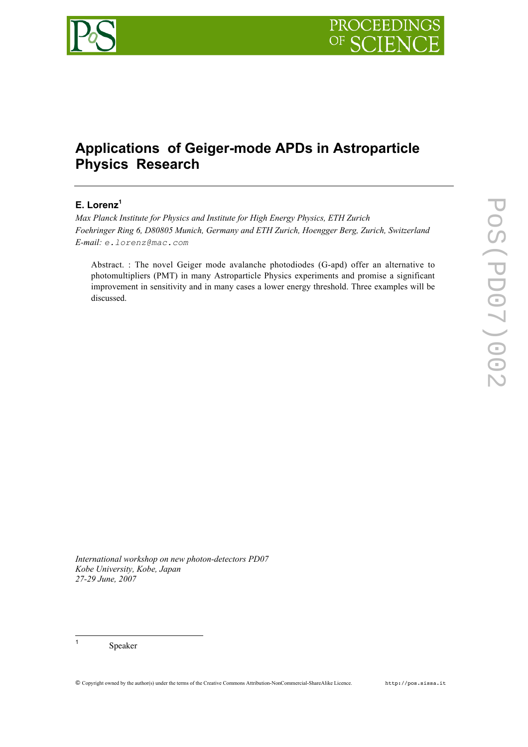

# **Applications of Geiger-mode APDs in Astroparticle Physics Research**

# **E. Lorenz<sup>1</sup>**

*Max Planck Institute for Physics and Institute for High Energy Physics, ETH Zurich Foehringer Ring 6, D80805 Munich, Germany and ETH Zurich, Hoengger Berg, Zurich, Switzerland E-mail: e.lorenz@mac.com*

Abstract. : The novel Geiger mode avalanche photodiodes (G-apd) offer an alternative to photomultipliers (PMT) in many Astroparticle Physics experiments and promise a significant improvement in sensitivity and in many cases a lower energy threshold. Three examples will be discussed.

*International workshop on new photon-detectors PD07 Kobe University, Kobe, Japan 27-29 June, 2007*

<sup>1</sup> Speaker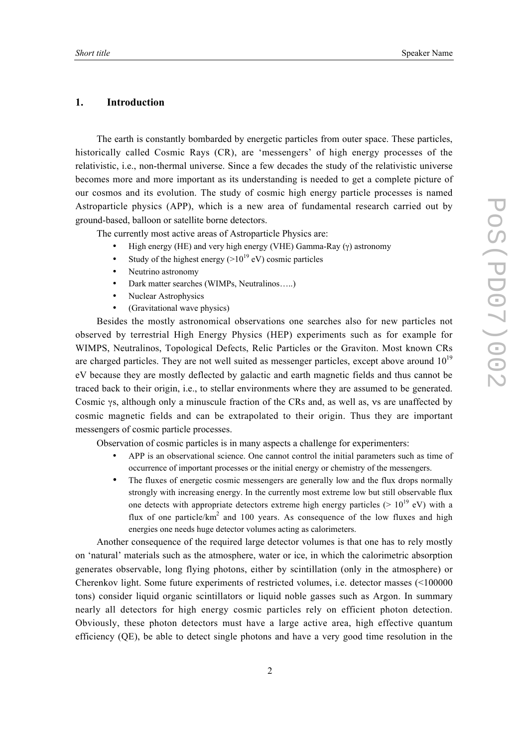### **1. Introduction**

The earth is constantly bombarded by energetic particles from outer space. These particles, historically called Cosmic Rays (CR), are 'messengers' of high energy processes of the relativistic, i.e., non-thermal universe. Since a few decades the study of the relativistic universe becomes more and more important as its understanding is needed to get a complete picture of our cosmos and its evolution. The study of cosmic high energy particle processes is named Astroparticle physics (APP), which is a new area of fundamental research carried out by ground-based, balloon or satellite borne detectors.

The currently most active areas of Astroparticle Physics are:

- High energy (HE) and very high energy (VHE) Gamma-Ray (γ) astronomy
- Study of the highest energy  $(>10^{19} \text{ eV})$  cosmic particles
- Neutrino astronomy
- Dark matter searches (WIMPs, Neutralinos…..)
- Nuclear Astrophysics
- (Gravitational wave physics)

Besides the mostly astronomical observations one searches also for new particles not observed by terrestrial High Energy Physics (HEP) experiments such as for example for WIMPS, Neutralinos, Topological Defects, Relic Particles or the Graviton. Most known CRs are charged particles. They are not well suited as messenger particles, except above around  $10^{19}$ eV because they are mostly deflected by galactic and earth magnetic fields and thus cannot be traced back to their origin, i.e., to stellar environments where they are assumed to be generated. Cosmic γs, although only a minuscule fraction of the CRs and, as well as, νs are unaffected by cosmic magnetic fields and can be extrapolated to their origin. Thus they are important messengers of cosmic particle processes.

Observation of cosmic particles is in many aspects a challenge for experimenters:

- APP is an observational science. One cannot control the initial parameters such as time of occurrence of important processes or the initial energy or chemistry of the messengers.
- The fluxes of energetic cosmic messengers are generally low and the flux drops normally strongly with increasing energy. In the currently most extreme low but still observable flux one detects with appropriate detectors extreme high energy particles ( $> 10^{19}$  eV) with a flux of one particle/ $km^2$  and 100 years. As consequence of the low fluxes and high energies one needs huge detector volumes acting as calorimeters.

Another consequence of the required large detector volumes is that one has to rely mostly on 'natural' materials such as the atmosphere, water or ice, in which the calorimetric absorption generates observable, long flying photons, either by scintillation (only in the atmosphere) or Cherenkov light. Some future experiments of restricted volumes, i.e. detector masses (<100000 tons) consider liquid organic scintillators or liquid noble gasses such as Argon. In summary nearly all detectors for high energy cosmic particles rely on efficient photon detection. Obviously, these photon detectors must have a large active area, high effective quantum efficiency (QE), be able to detect single photons and have a very good time resolution in the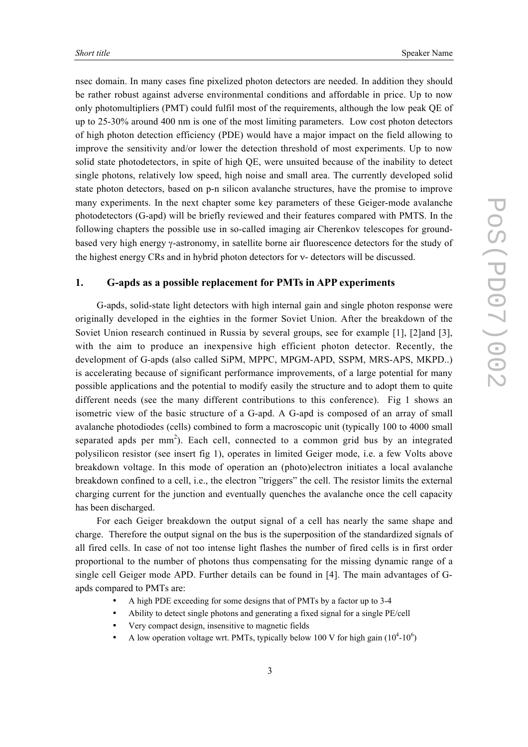nsec domain. In many cases fine pixelized photon detectors are needed. In addition they should be rather robust against adverse environmental conditions and affordable in price. Up to now only photomultipliers (PMT) could fulfil most of the requirements, although the low peak QE of up to 25-30% around 400 nm is one of the most limiting parameters. Low cost photon detectors of high photon detection efficiency (PDE) would have a major impact on the field allowing to improve the sensitivity and/or lower the detection threshold of most experiments. Up to now solid state photodetectors, in spite of high QE, were unsuited because of the inability to detect single photons, relatively low speed, high noise and small area. The currently developed solid state photon detectors, based on p-n silicon avalanche structures, have the promise to improve many experiments. In the next chapter some key parameters of these Geiger-mode avalanche photodetectors (G-apd) will be briefly reviewed and their features compared with PMTS. In the following chapters the possible use in so-called imaging air Cherenkov telescopes for groundbased very high energy γ-astronomy, in satellite borne air fluorescence detectors for the study of the highest energy CRs and in hybrid photon detectors for ν- detectors will be discussed.

## **1. G-apds as a possible replacement for PMTs in APP experiments**

G-apds, solid-state light detectors with high internal gain and single photon response were originally developed in the eighties in the former Soviet Union. After the breakdown of the Soviet Union research continued in Russia by several groups, see for example [1], [2]and [3], with the aim to produce an inexpensive high efficient photon detector. Recently, the development of G-apds (also called SiPM, MPPC, MPGM-APD, SSPM, MRS-APS, MKPD..) is accelerating because of significant performance improvements, of a large potential for many possible applications and the potential to modify easily the structure and to adopt them to quite different needs (see the many different contributions to this conference). Fig 1 shows an isometric view of the basic structure of a G-apd. A G-apd is composed of an array of small avalanche photodiodes (cells) combined to form a macroscopic unit (typically 100 to 4000 small separated apds per  $mm<sup>2</sup>$ ). Each cell, connected to a common grid bus by an integrated polysilicon resistor (see insert fig 1), operates in limited Geiger mode, i.e. a few Volts above breakdown voltage. In this mode of operation an (photo)electron initiates a local avalanche breakdown confined to a cell, i.e., the electron "triggers" the cell. The resistor limits the external charging current for the junction and eventually quenches the avalanche once the cell capacity has been discharged.

For each Geiger breakdown the output signal of a cell has nearly the same shape and charge. Therefore the output signal on the bus is the superposition of the standardized signals of all fired cells. In case of not too intense light flashes the number of fired cells is in first order proportional to the number of photons thus compensating for the missing dynamic range of a single cell Geiger mode APD. Further details can be found in [4]. The main advantages of Gapds compared to PMTs are:

- A high PDE exceeding for some designs that of PMTs by a factor up to 3-4
- Ability to detect single photons and generating a fixed signal for a single PE/cell
- Very compact design, insensitive to magnetic fields
- A low operation voltage wrt. PMTs, typically below 100 V for high gain  $(10^4\t{-}10^6)$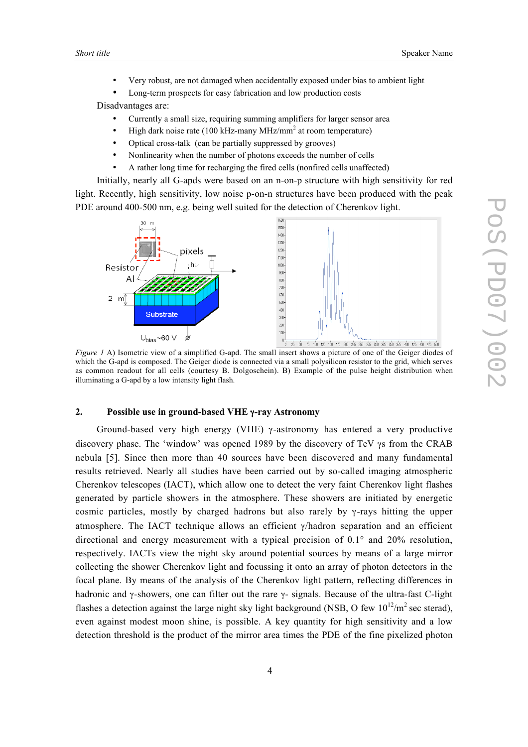- Very robust, are not damaged when accidentally exposed under bias to ambient light
- Long-term prospects for easy fabrication and low production costs

Disadvantages are:

- Currently a small size, requiring summing amplifiers for larger sensor area
- High dark noise rate (100 kHz-many MHz/mm<sup>2</sup> at room temperature)
- Optical cross-talk (can be partially suppressed by grooves)
- Nonlinearity when the number of photons exceeds the number of cells
- A rather long time for recharging the fired cells (nonfired cells unaffected)

Initially, nearly all G-apds were based on an n-on-p structure with high sensitivity for red light. Recently, high sensitivity, low noise p-on-n structures have been produced with the peak PDE around 400-500 nm, e.g. being well suited for the detection of Cherenkov light.



which the G-apd is composed. The Geiger diode is connected via a small polysilicon resistor to the grid, which serves as common readout for all cells (courtesy B. Dolgoschein). B) Example of the pulse height distribution when illuminating a G-apd by a low intensity light flash.

## **2. Possible use in ground-based VHE** γ**-ray Astronomy**

Ground-based very high energy (VHE) γ-astronomy has entered a very productive discovery phase. The 'window' was opened 1989 by the discovery of TeV γs from the CRAB nebula [5]. Since then more than 40 sources have been discovered and many fundamental results retrieved. Nearly all studies have been carried out by so-called imaging atmospheric Cherenkov telescopes (IACT), which allow one to detect the very faint Cherenkov light flashes generated by particle showers in the atmosphere. These showers are initiated by energetic cosmic particles, mostly by charged hadrons but also rarely by γ-rays hitting the upper atmosphere. The IACT technique allows an efficient γ/hadron separation and an efficient directional and energy measurement with a typical precision of  $0.1^\circ$  and  $20\%$  resolution, respectively. IACTs view the night sky around potential sources by means of a large mirror collecting the shower Cherenkov light and focussing it onto an array of photon detectors in the focal plane. By means of the analysis of the Cherenkov light pattern, reflecting differences in hadronic and γ-showers, one can filter out the rare γ- signals. Because of the ultra-fast C-light flashes a detection against the large night sky light background (NSB, O few  $10^{12}/m^2$  sec sterad), even against modest moon shine, is possible. A key quantity for high sensitivity and a low detection threshold is the product of the mirror area times the PDE of the fine pixelized photon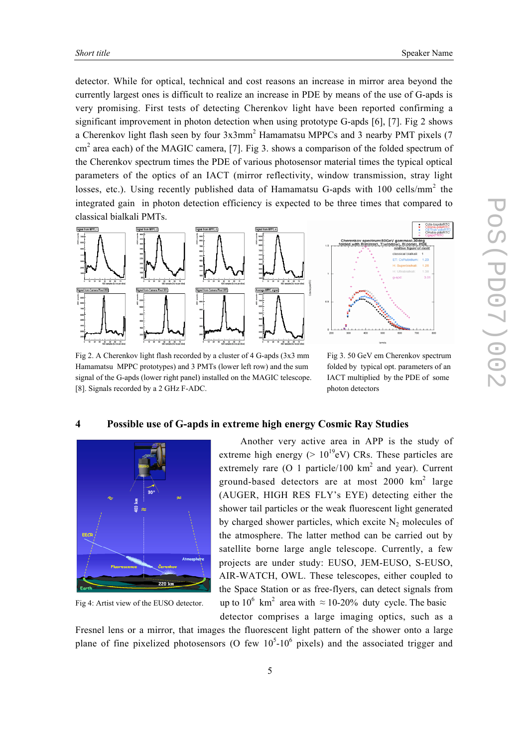detector. While for optical, technical and cost reasons an increase in mirror area beyond the currently largest ones is difficult to realize an increase in PDE by means of the use of G-apds is very promising. First tests of detecting Cherenkov light have been reported confirming a significant improvement in photon detection when using prototype G-apds [6], [7]. Fig 2 shows a Cherenkov light flash seen by four 3x3mm<sup>2</sup> Hamamatsu MPPCs and 3 nearby PMT pixels (7 cm<sup>2</sup> area each) of the MAGIC camera, [7]. Fig 3. shows a comparison of the folded spectrum of the Cherenkov spectrum times the PDE of various photosensor material times the typical optical parameters of the optics of an IACT (mirror reflectivity, window transmission, stray light losses, etc.). Using recently published data of Hamamatsu G-apds with 100 cells/mm<sup>2</sup> the integrated gain in photon detection efficiency is expected to be three times that compared to classical bialkali PMTs.



Fig 2. A Cherenkov light flash recorded by a cluster of 4 G-apds (3x3 mm Fig 3. 50 GeV em Cherenkov spectrum Hamamatsu MPPC prototypes) and 3 PMTs (lower left row) and the sum folded by typical opt. parameters of an signal of the G-apds (lower right panel) installed on the MAGIC telescope. IACT multiplied by the PDE of some [8]. Signals recorded by a 2 GHz F-ADC. blow photon detectors

# **4 Possible use of G-apds in extreme high energy Cosmic Ray Studies**



Fig 4: Artist view of the EUSO detector.

Another very active area in APP is the study of extreme high energy ( $> 10^{19}$ eV) CRs. These particles are extremely rare (O 1 particle/100  $km^2$  and year). Current ground-based detectors are at most  $2000 \text{ km}^2$  large (AUGER, HIGH RES FLY's EYE) detecting either the shower tail particles or the weak fluorescent light generated by charged shower particles, which excite  $N_2$  molecules of the atmosphere. The latter method can be carried out by satellite borne large angle telescope. Currently, a few projects are under study: EUSO, JEM-EUSO, S-EUSO, AIR-WATCH, OWL. These telescopes, either coupled to the Space Station or as free-flyers, can detect signals from km<sup>2</sup> area with  $\approx$  10-20% duty cycle. The basic detector comprises a large imaging optics, such as a

Fresnel lens or a mirror, that images the fluorescent light pattern of the shower onto a large plane of fine pixelized photosensors (O few  $10^5$ - $10^6$  pixels) and the associated trigger and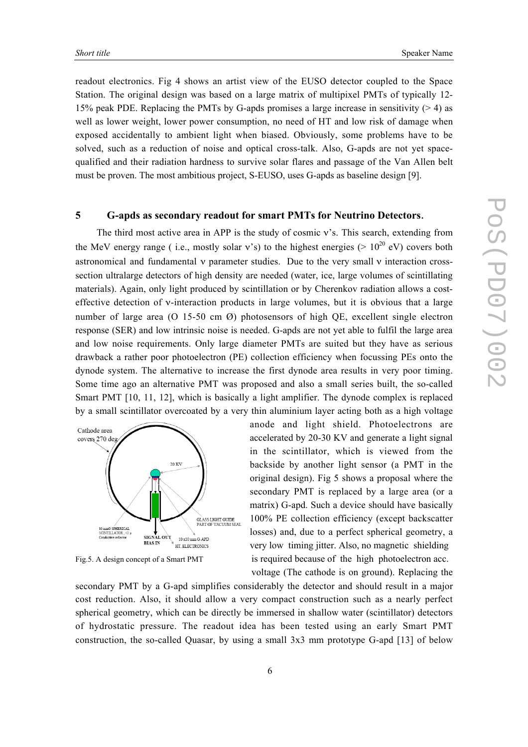readout electronics. Fig 4 shows an artist view of the EUSO detector coupled to the Space Station. The original design was based on a large matrix of multipixel PMTs of typically 12- 15% peak PDE. Replacing the PMTs by G-apds promises a large increase in sensitivity (> 4) as well as lower weight, lower power consumption, no need of HT and low risk of damage when exposed accidentally to ambient light when biased. Obviously, some problems have to be solved, such as a reduction of noise and optical cross-talk. Also, G-apds are not yet spacequalified and their radiation hardness to survive solar flares and passage of the Van Allen belt must be proven. The most ambitious project, S-EUSO, uses G-apds as baseline design [9].

### **5 G-apds as secondary readout for smart PMTs for Neutrino Detectors**.

The third most active area in APP is the study of cosmic v's. This search, extending from the MeV energy range (i.e., mostly solar v's) to the highest energies (>  $10^{20}$  eV) covers both astronomical and fundamental  $\nu$  parameter studies. Due to the very small  $\nu$  interaction crosssection ultralarge detectors of high density are needed (water, ice, large volumes of scintillating materials). Again, only light produced by scintillation or by Cherenkov radiation allows a costeffective detection of ν-interaction products in large volumes, but it is obvious that a large number of large area (O 15-50 cm  $\varnothing$ ) photosensors of high QE, excellent single electron response (SER) and low intrinsic noise is needed. G-apds are not yet able to fulfil the large area and low noise requirements. Only large diameter PMTs are suited but they have as serious drawback a rather poor photoelectron (PE) collection efficiency when focussing PEs onto the dynode system. The alternative to increase the first dynode area results in very poor timing. Some time ago an alternative PMT was proposed and also a small series built, the so-called Smart PMT [10, 11, 12], which is basically a light amplifier. The dynode complex is replaced by a small scintillator overcoated by a very thin aluminium layer acting both as a high voltage



anode and light shield. Photoelectrons are accelerated by 20-30 KV and generate a light signal in the scintillator, which is viewed from the backside by another light sensor (a PMT in the original design). Fig 5 shows a proposal where the secondary PMT is replaced by a large area (or a matrix) G-apd. Such a device should have basically 100% PE collection efficiency (except backscatter losses) and, due to a perfect spherical geometry, a very low timing jitter. Also, no magnetic shielding Fig.5. A design concept of a Smart PMT is required because of the high photoelectron acc. voltage (The cathode is on ground). Replacing the

secondary PMT by a G-apd simplifies considerably the detector and should result in a major cost reduction. Also, it should allow a very compact construction such as a nearly perfect spherical geometry, which can be directly be immersed in shallow water (scintillator) detectors of hydrostatic pressure. The readout idea has been tested using an early Smart PMT construction, the so-called Quasar, by using a small 3x3 mm prototype G-apd [13] of below